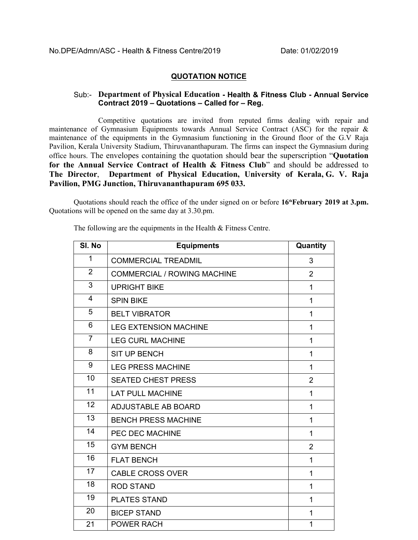## **QUOTATION NOTICE**

## Sub:- **Department of Physical Education - Health & Fitness Club - Annual Service Contract 2019 – Quotations – Called for – Reg.**

Competitive quotations are invited from reputed firms dealing with repair and maintenance of Gymnasium Equipments towards Annual Service Contract (ASC) for the repair & maintenance of the equipments in the Gymnasium functioning in the Ground floor of the G.V Raja Pavilion, Kerala University Stadium, Thiruvananthapuram. The firms can inspect the Gymnasium during office hours. The envelopes containing the quotation should bear the superscription "**Quotation for the Annual Service Contract of Health & Fitness Club**" and should be addressed to **The Director**, **Department of Physical Education, University of Kerala, G. V. Raja Pavilion, PMG Junction, Thiruvananthapuram 695 033.** 

Quotations should reach the office of the under signed on or before **16thFebruary 2019 at 3.pm.** Quotations will be opened on the same day at 3.30.pm.

| SI. No         | <b>Equipments</b>                  | Quantity       |
|----------------|------------------------------------|----------------|
| $\mathbf{1}$   | <b>COMMERCIAL TREADMIL</b>         | 3              |
| $\overline{2}$ | <b>COMMERCIAL / ROWING MACHINE</b> | $\overline{2}$ |
| 3              | <b>UPRIGHT BIKE</b>                | 1              |
| $\overline{4}$ | <b>SPIN BIKE</b>                   | $\mathbf{1}$   |
| 5              | <b>BELT VIBRATOR</b>               | 1              |
| 6              | <b>LEG EXTENSION MACHINE</b>       | 1              |
| $\overline{7}$ | <b>LEG CURL MACHINE</b>            | 1              |
| 8              | <b>SIT UP BENCH</b>                | 1              |
| 9              | <b>LEG PRESS MACHINE</b>           | 1              |
| 10             | <b>SEATED CHEST PRESS</b>          | $\overline{2}$ |
| 11             | <b>LAT PULL MACHINE</b>            | 1              |
| 12             | <b>ADJUSTABLE AB BOARD</b>         | 1              |
| 13             | <b>BENCH PRESS MACHINE</b>         | 1              |
| 14             | PEC DEC MACHINE                    | 1              |
| 15             | <b>GYM BENCH</b>                   | $\overline{2}$ |
| 16             | <b>FLAT BENCH</b>                  | 1              |
| 17             | <b>CABLE CROSS OVER</b>            | $\mathbf{1}$   |
| 18             | <b>ROD STAND</b>                   | 1              |
| 19             | <b>PLATES STAND</b>                | 1              |
| 20             | <b>BICEP STAND</b>                 | 1              |
| 21             | <b>POWER RACH</b>                  | $\mathbf{1}$   |

The following are the equipments in the Health & Fitness Centre.